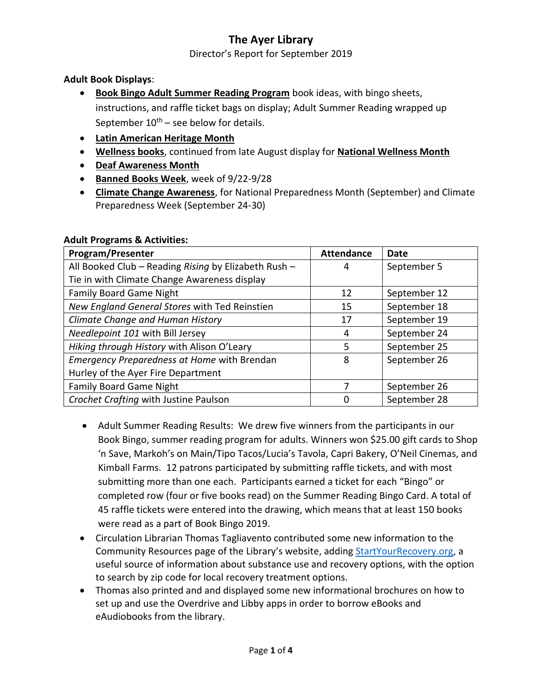Director's Report for September 2019

### **Adult Book Displays**:

- **Book Bingo Adult Summer Reading Program** book ideas, with bingo sheets, instructions, and raffle ticket bags on display; Adult Summer Reading wrapped up September  $10^{th}$  – see below for details.
- **Latin American Heritage Month**
- **Wellness books**, continued from late August display for **National Wellness Month**
- **Deaf Awareness Month**
- **Banned Books Week**, week of 9/22-9/28
- **Climate Change Awareness**, for National Preparedness Month (September) and Climate Preparedness Week (September 24-30)

| <b>Program/Presenter</b>                             | <b>Attendance</b> | Date         |
|------------------------------------------------------|-------------------|--------------|
| All Booked Club - Reading Rising by Elizabeth Rush - | 4                 | September 5  |
| Tie in with Climate Change Awareness display         |                   |              |
| <b>Family Board Game Night</b>                       | 12                | September 12 |
| New England General Stores with Ted Reinstien        | 15                | September 18 |
| Climate Change and Human History                     | 17                | September 19 |
| Needlepoint 101 with Bill Jersey                     | 4                 | September 24 |
| Hiking through History with Alison O'Leary           | .5                | September 25 |
| Emergency Preparedness at Home with Brendan          | 8                 | September 26 |
| Hurley of the Ayer Fire Department                   |                   |              |
| <b>Family Board Game Night</b>                       |                   | September 26 |
| Crochet Crafting with Justine Paulson                |                   | September 28 |

#### **Adult Programs & Activities:**

- Adult Summer Reading Results: We drew five winners from the participants in our Book Bingo, summer reading program for adults. Winners won \$25.00 gift cards to Shop 'n Save, Markoh's on Main/Tipo Tacos/Lucia's Tavola, Capri Bakery, O'Neil Cinemas, and Kimball Farms. 12 patrons participated by submitting raffle tickets, and with most submitting more than one each. Participants earned a ticket for each "Bingo" or completed row (four or five books read) on the Summer Reading Bingo Card. A total of 45 raffle tickets were entered into the drawing, which means that at least 150 books were read as a part of Book Bingo 2019.
- Circulation Librarian Thomas Tagliavento contributed some new information to the Community Resources page of the Library's website, adding [StartYourRecovery.org,](http://www.startyourrecovery.org/) a useful source of information about substance use and recovery options, with the option to search by zip code for local recovery treatment options.
- Thomas also printed and and displayed some new informational brochures on how to set up and use the Overdrive and Libby apps in order to borrow eBooks and eAudiobooks from the library.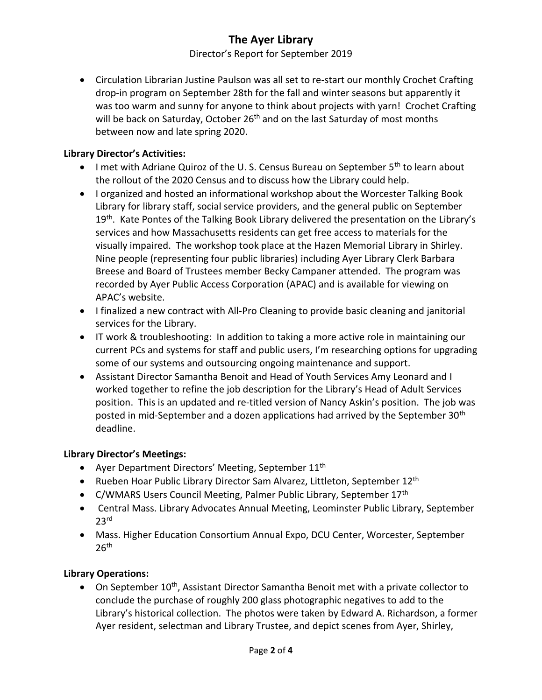Director's Report for September 2019

 Circulation Librarian Justine Paulson was all set to re-start our monthly Crochet Crafting drop-in program on September 28th for the fall and winter seasons but apparently it was too warm and sunny for anyone to think about projects with yarn! Crochet Crafting will be back on Saturday, October 26<sup>th</sup> and on the last Saturday of most months between now and late spring 2020.

### **Library Director's Activities:**

- I met with Adriane Quiroz of the U.S. Census Bureau on September  $5<sup>th</sup>$  to learn about the rollout of the 2020 Census and to discuss how the Library could help.
- I organized and hosted an informational workshop about the Worcester Talking Book Library for library staff, social service providers, and the general public on September 19<sup>th</sup>. Kate Pontes of the Talking Book Library delivered the presentation on the Library's services and how Massachusetts residents can get free access to materials for the visually impaired. The workshop took place at the Hazen Memorial Library in Shirley. Nine people (representing four public libraries) including Ayer Library Clerk Barbara Breese and Board of Trustees member Becky Campaner attended. The program was recorded by Ayer Public Access Corporation (APAC) and is available for viewing on APAC's website.
- I finalized a new contract with All-Pro Cleaning to provide basic cleaning and janitorial services for the Library.
- IT work & troubleshooting: In addition to taking a more active role in maintaining our current PCs and systems for staff and public users, I'm researching options for upgrading some of our systems and outsourcing ongoing maintenance and support.
- Assistant Director Samantha Benoit and Head of Youth Services Amy Leonard and I worked together to refine the job description for the Library's Head of Adult Services position. This is an updated and re-titled version of Nancy Askin's position. The job was posted in mid-September and a dozen applications had arrived by the September 30<sup>th</sup> deadline.

#### **Library Director's Meetings:**

- Ayer Department Directors' Meeting, September  $11<sup>th</sup>$
- Rueben Hoar Public Library Director Sam Alvarez, Littleton, September 12<sup>th</sup>
- C/WMARS Users Council Meeting, Palmer Public Library, September 17<sup>th</sup>
- Central Mass. Library Advocates Annual Meeting, Leominster Public Library, September  $23<sup>rd</sup>$
- Mass. Higher Education Consortium Annual Expo, DCU Center, Worcester, September  $26<sup>th</sup>$

### **Library Operations:**

 $\bullet$  On September 10<sup>th</sup>, Assistant Director Samantha Benoit met with a private collector to conclude the purchase of roughly 200 glass photographic negatives to add to the Library's historical collection. The photos were taken by Edward A. Richardson, a former Ayer resident, selectman and Library Trustee, and depict scenes from Ayer, Shirley,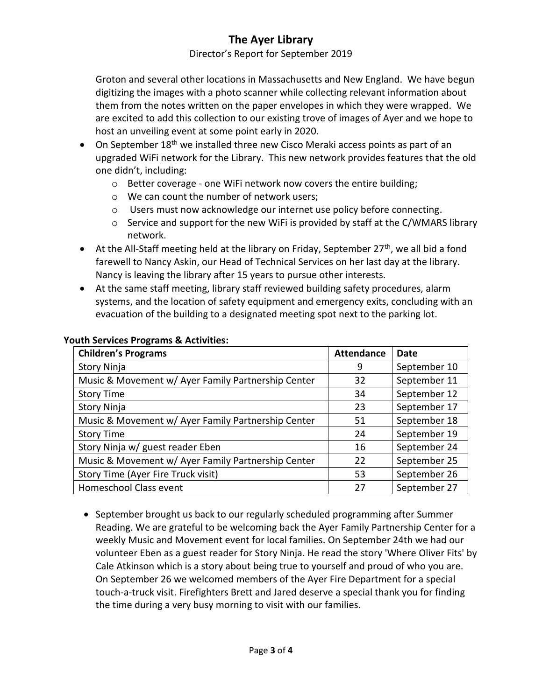Director's Report for September 2019

Groton and several other locations in Massachusetts and New England. We have begun digitizing the images with a photo scanner while collecting relevant information about them from the notes written on the paper envelopes in which they were wrapped. We are excited to add this collection to our existing trove of images of Ayer and we hope to host an unveiling event at some point early in 2020.

- $\bullet$  On September 18<sup>th</sup> we installed three new Cisco Meraki access points as part of an upgraded WiFi network for the Library. This new network provides features that the old one didn't, including:
	- o Better coverage one WiFi network now covers the entire building;
	- o We can count the number of network users;
	- o Users must now acknowledge our internet use policy before connecting.
	- o Service and support for the new WiFi is provided by staff at the C/WMARS library network.
- $\bullet$  At the All-Staff meeting held at the library on Friday, September 27<sup>th</sup>, we all bid a fond farewell to Nancy Askin, our Head of Technical Services on her last day at the library. Nancy is leaving the library after 15 years to pursue other interests.
- At the same staff meeting, library staff reviewed building safety procedures, alarm systems, and the location of safety equipment and emergency exits, concluding with an evacuation of the building to a designated meeting spot next to the parking lot.

| <b>Children's Programs</b>                         | <b>Attendance</b> | Date         |
|----------------------------------------------------|-------------------|--------------|
| Story Ninja                                        | 9                 | September 10 |
| Music & Movement w/ Ayer Family Partnership Center | 32                | September 11 |
| <b>Story Time</b>                                  | 34                | September 12 |
| Story Ninja                                        | 23                | September 17 |
| Music & Movement w/ Ayer Family Partnership Center | 51                | September 18 |
| <b>Story Time</b>                                  | 24                | September 19 |
| Story Ninja w/ guest reader Eben                   | 16                | September 24 |
| Music & Movement w/ Ayer Family Partnership Center | 22                | September 25 |
| Story Time (Ayer Fire Truck visit)                 | 53                | September 26 |
| Homeschool Class event                             | 27                | September 27 |

#### **Youth Services Programs & Activities:**

• September brought us back to our regularly scheduled programming after Summer Reading. We are grateful to be welcoming back the Ayer Family Partnership Center for a weekly Music and Movement event for local families. On September 24th we had our volunteer Eben as a guest reader for Story Ninja. He read the story 'Where Oliver Fits' by Cale Atkinson which is a story about being true to yourself and proud of who you are. On September 26 we welcomed members of the Ayer Fire Department for a special touch-a-truck visit. Firefighters Brett and Jared deserve a special thank you for finding the time during a very busy morning to visit with our families.